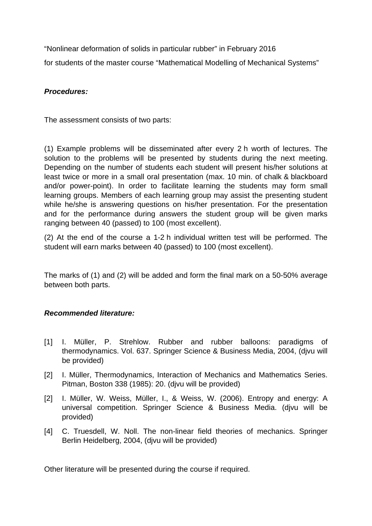"Nonlinear deformation of solids in particular rubber" in February 2016 for students of the master course "Mathematical Modelling of Mechanical Systems"

## *Procedures:*

The assessment consists of two parts:

(1) Example problems will be disseminated after every 2 h worth of lectures. The solution to the problems will be presented by students during the next meeting. Depending on the number of students each student will present his/her solutions at least twice or more in a small oral presentation (max. 10 min. of chalk & blackboard and/or power-point). In order to facilitate learning the students may form small learning groups. Members of each learning group may assist the presenting student while he/she is answering questions on his/her presentation. For the presentation and for the performance during answers the student group will be given marks ranging between 40 (passed) to 100 (most excellent).

(2) At the end of the course a 1-2 h individual written test will be performed. The student will earn marks between 40 (passed) to 100 (most excellent).

The marks of (1) and (2) will be added and form the final mark on a 50-50% average between both parts.

## *Recommended literature:*

- [1] I. Müller, P. Strehlow. Rubber and rubber balloons: paradigms of thermodynamics. Vol. 637. Springer Science & Business Media, 2004, (djvu will be provided)
- [2] I. Müller, Thermodynamics, Interaction of Mechanics and Mathematics Series. Pitman, Boston 338 (1985): 20. (djvu will be provided)
- [2] I. Müller, W. Weiss, Müller, I., & Weiss, W. (2006). Entropy and energy: A universal competition. Springer Science & Business Media. (djvu will be provided)
- [4] C. Truesdell, W. Noll. The non-linear field theories of mechanics. Springer Berlin Heidelberg, 2004, (djvu will be provided)

Other literature will be presented during the course if required.